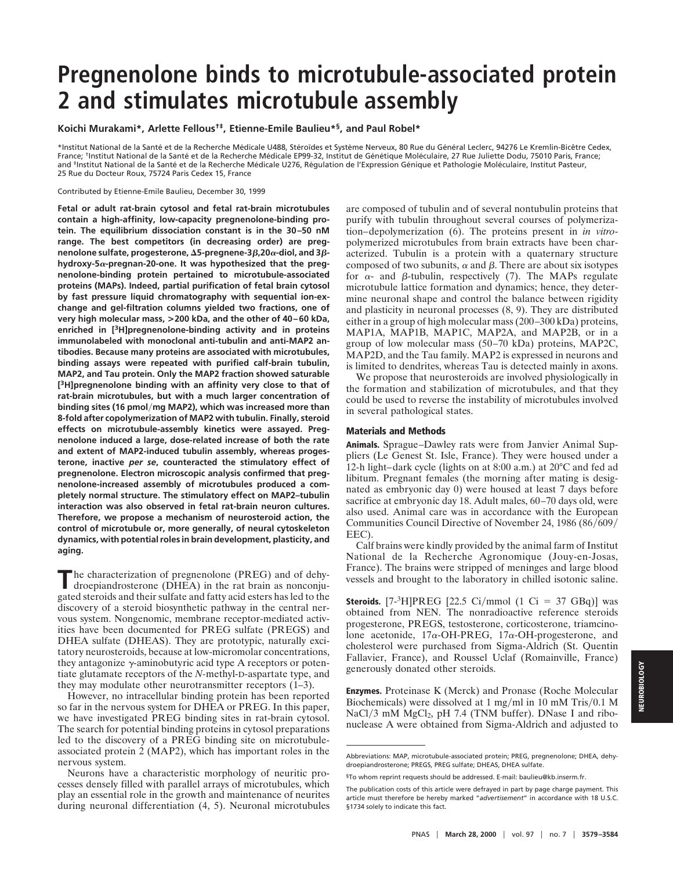# **Pregnenolone binds to microtubule-associated protein 2 and stimulates microtubule assembly**

**Koichi Murakami\*, Arlette Fellous†‡, Etienne-Emile Baulieu\*§, and Paul Robel\***

\*Institut National de la Santé et de la Recherche Médicale U488, Stéroïdes et Système Nerveux, 80 Rue du Général Leclerc, 94276 Le Kremlin-Bicêtre Cedex, France; <sup>†</sup>Institut National de la Santé et de la Recherche Médicale EP99-32, Institut de Génétique Moléculaire, 27 Rue Juliette Dodu, 75010 Paris, France; and <sup>‡</sup>Institut National de la Santé et de la Recherche Médicale U276, Régulation de l'Expression Génique et Pathologie Moléculaire, Institut Pasteur, 25 Rue du Docteur Roux, 75724 Paris Cedex 15, France

Contributed by Etienne-Emile Baulieu, December 30, 1999

**Fetal or adult rat-brain cytosol and fetal rat-brain microtubules contain a high-affinity, low-capacity pregnenolone-binding protein. The equilibrium dissociation constant is in the 30–50 nM range. The best competitors (in decreasing order) are pregnenolone sulfate, progesterone, Δ5-pregnene-3β,20** $\alpha$ **-diol, and 3βhydroxy-5**a**-pregnan-20-one. It was hypothesized that the pregnenolone-binding protein pertained to microtubule-associated proteins (MAPs). Indeed, partial purification of fetal brain cytosol by fast pressure liquid chromatography with sequential ion-exchange and gel-filtration columns yielded two fractions, one of very high molecular mass, >200 kDa, and the other of 40–60 kDa, enriched in [3H]pregnenolone-binding activity and in proteins immunolabeled with monoclonal anti-tubulin and anti-MAP2 antibodies. Because many proteins are associated with microtubules, binding assays were repeated with purified calf-brain tubulin, MAP2, and Tau protein. Only the MAP2 fraction showed saturable [3H]pregnenolone binding with an affinity very close to that of rat-brain microtubules, but with a much larger concentration of** binding sites (16 pmol/mg MAP2), which was increased more than **8-fold after copolymerization of MAP2 with tubulin. Finally, steroid effects on microtubule-assembly kinetics were assayed. Pregnenolone induced a large, dose-related increase of both the rate and extent of MAP2-induced tubulin assembly, whereas progesterone, inactive** *per se***, counteracted the stimulatory effect of pregnenolone. Electron microscopic analysis confirmed that pregnenolone-increased assembly of microtubules produced a completely normal structure. The stimulatory effect on MAP2–tubulin interaction was also observed in fetal rat-brain neuron cultures. Therefore, we propose a mechanism of neurosteroid action, the control of microtubule or, more generally, of neural cytoskeleton dynamics, with potential roles in brain development, plasticity, and aging.**

The characterization of pregnenolone (PREG) and of dehy-<br>droepiandrosterone (DHEA) in the rat brain as nonconjugated steroids and their sulfate and fatty acid esters has led to the discovery of a steroid biosynthetic pathway in the central nervous system. Nongenomic, membrane receptor-mediated activities have been documented for PREG sulfate (PREGS) and DHEA sulfate (DHEAS). They are prototypic, naturally excitatory neurosteroids, because at low-micromolar concentrations, they antagonize  $\gamma$ -aminobutyric acid type A receptors or potentiate glutamate receptors of the *N-*methyl-D-aspartate type, and they may modulate other neurotransmitter receptors (1–3).

However, no intracellular binding protein has been reported so far in the nervous system for DHEA or PREG. In this paper, we have investigated PREG binding sites in rat-brain cytosol. The search for potential binding proteins in cytosol preparations led to the discovery of a PREG binding site on microtubuleassociated protein 2 (MAP2), which has important roles in the nervous system.

Neurons have a characteristic morphology of neuritic processes densely filled with parallel arrays of microtubules, which play an essential role in the growth and maintenance of neurites during neuronal differentiation (4, 5). Neuronal microtubules

are composed of tubulin and of several nontubulin proteins that purify with tubulin throughout several courses of polymerization–depolymerization (6). The proteins present in *in vitro*polymerized microtubules from brain extracts have been characterized. Tubulin is a protein with a quaternary structure composed of two subunits,  $\alpha$  and  $\beta$ . There are about six isotypes for  $\alpha$ - and  $\beta$ -tubulin, respectively (7). The MAPs regulate microtubule lattice formation and dynamics; hence, they determine neuronal shape and control the balance between rigidity and plasticity in neuronal processes (8, 9). They are distributed either in a group of high molecular mass (200–300 kDa) proteins, MAP1A, MAP1B, MAP1C, MAP2A, and MAP2B, or in a group of low molecular mass (50–70 kDa) proteins, MAP2C, MAP2D, and the Tau family. MAP2 is expressed in neurons and is limited to dendrites, whereas Tau is detected mainly in axons.

We propose that neurosteroids are involved physiologically in the formation and stabilization of microtubules, and that they could be used to reverse the instability of microtubules involved in several pathological states.

## **Materials and Methods**

**Animals.** Sprague–Dawley rats were from Janvier Animal Suppliers (Le Genest St. Isle, France). They were housed under a 12-h light–dark cycle (lights on at 8:00 a.m.) at 20°C and fed ad libitum. Pregnant females (the morning after mating is designated as embryonic day 0) were housed at least 7 days before sacrifice at embryonic day 18. Adult males, 60–70 days old, were also used. Animal care was in accordance with the European Communities Council Directive of November 24, 1986 (86/609/ EEC).

Calf brains were kindly provided by the animal farm of Institut National de la Recherche Agronomique (Jouy-en-Josas, France). The brains were stripped of meninges and large blood vessels and brought to the laboratory in chilled isotonic saline.

**Steroids.**  $[7\text{-}3H]PREG$   $[22.5 \text{ Ci/mmol}$   $(1 \text{ Ci} = 37 \text{ GBq})]$  was obtained from NEN. The nonradioactive reference steroids progesterone, PREGS, testosterone, corticosterone, triamcinolone acetonide,  $17\alpha$ -OH-PREG,  $17\alpha$ -OH-progesterone, and cholesterol were purchased from Sigma-Aldrich (St. Quentin Fallavier, France), and Roussel Uclaf (Romainville, France) generously donated other steroids.

**Enzymes.** Proteinase K (Merck) and Pronase (Roche Molecular Biochemicals) were dissolved at  $1 \text{ mg/ml}$  in  $10 \text{ mM Tris} / 0.1 \text{ M}$ NaCl/3 mM  $MgCl<sub>2</sub>$ , pH 7.4 (TNM buffer). DNase I and ribonuclease A were obtained from Sigma-Aldrich and adjusted to

Abbreviations: MAP, microtubule-associated protein; PREG, pregnenolone; DHEA, dehydroepiandrosterone; PREGS, PREG sulfate; DHEAS, DHEA sulfate.

<sup>§</sup>To whom reprint requests should be addressed. E-mail: baulieu@kb.inserm.fr.

The publication costs of this article were defrayed in part by page charge payment. This article must therefore be hereby marked "*advertisement*" in accordance with 18 U.S.C. §1734 solely to indicate this fact.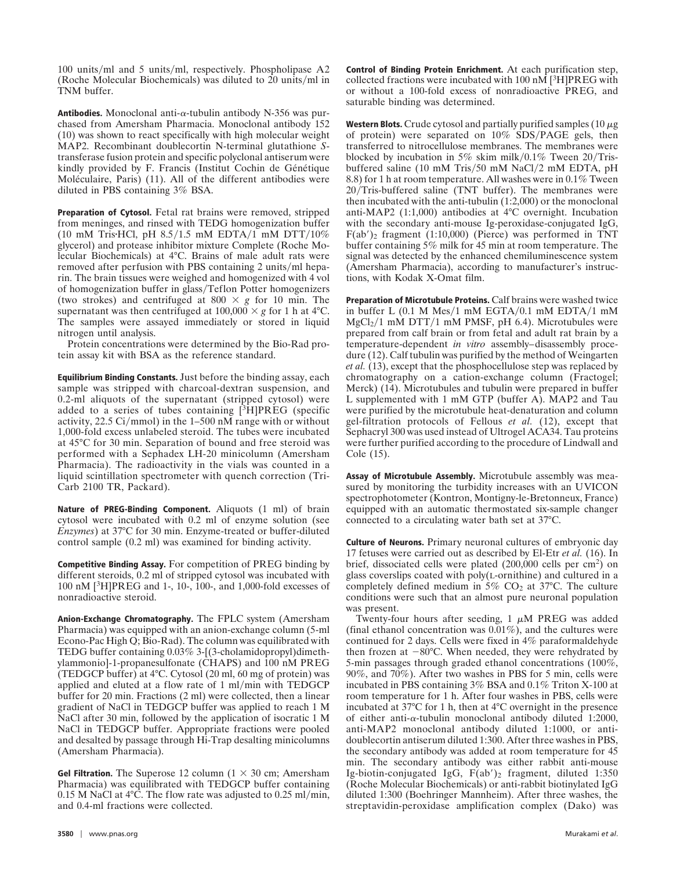$100 \text{ units/ml}$  and 5 units/ml, respectively. Phospholipase A2 (Roche Molecular Biochemicals) was diluted to 20 units/ml in TNM buffer.

**Antibodies.** Monoclonal anti- $\alpha$ -tubulin antibody N-356 was purchased from Amersham Pharmacia. Monoclonal antibody 152 (10) was shown to react specifically with high molecular weight MAP2. Recombinant doublecortin N-terminal glutathione *S*transferase fusion protein and specific polyclonal antiserum were kindly provided by F. Francis (Institut Cochin de Génétique Moléculaire, Paris) (11). All of the different antibodies were diluted in PBS containing 3% BSA.

**Preparation of Cytosol.** Fetal rat brains were removed, stripped from meninges, and rinsed with TEDG homogenization buffer (10 mM Tris $HCl$ , pH 8.5/1.5 mM EDTA/1 mM DTT/10% glycerol) and protease inhibitor mixture Complete (Roche Molecular Biochemicals) at 4°C. Brains of male adult rats were removed after perfusion with PBS containing 2 units/ml heparin. The brain tissues were weighed and homogenized with 4 vol of homogenization buffer in glass/Teflon Potter homogenizers (two strokes) and centrifuged at  $800 \times g$  for 10 min. The supernatant was then centrifuged at  $100,000 \times g$  for 1 h at 4°C. The samples were assayed immediately or stored in liquid nitrogen until analysis.

Protein concentrations were determined by the Bio-Rad protein assay kit with BSA as the reference standard.

**Equilibrium Binding Constants.** Just before the binding assay, each sample was stripped with charcoal-dextran suspension, and 0.2-ml aliquots of the supernatant (stripped cytosol) were added to a series of tubes containing  $[3H]PREG$  (specific activity,  $22.5 \text{ Ci/mmol}$  in the 1–500 nM range with or without 1,000-fold excess unlabeled steroid. The tubes were incubated at 45°C for 30 min. Separation of bound and free steroid was performed with a Sephadex LH-20 minicolumn (Amersham Pharmacia). The radioactivity in the vials was counted in a liquid scintillation spectrometer with quench correction (Tri-Carb 2100 TR, Packard).

**Nature of PREG-Binding Component.** Aliquots (1 ml) of brain cytosol were incubated with 0.2 ml of enzyme solution (see *Enzymes*) at 37°C for 30 min. Enzyme-treated or buffer-diluted control sample (0.2 ml) was examined for binding activity.

**Competitive Binding Assay.** For competition of PREG binding by different steroids, 0.2 ml of stripped cytosol was incubated with 100 nM [3H]PREG and 1-, 10-, 100-, and 1,000-fold excesses of nonradioactive steroid.

**Anion-Exchange Chromatography.** The FPLC system (Amersham Pharmacia) was equipped with an anion-exchange column (5-ml Econo-Pac High Q; Bio-Rad). The column was equilibrated with TEDG buffer containing 0.03% 3-[(3-cholamidopropyl)dimethylammonio]-1-propanesulfonate (CHAPS) and 100 nM PREG (TEDGCP buffer) at 4°C. Cytosol (20 ml, 60 mg of protein) was applied and eluted at a flow rate of  $1 \text{ ml/min}$  with TEDGCP buffer for 20 min. Fractions (2 ml) were collected, then a linear gradient of NaCl in TEDGCP buffer was applied to reach 1 M NaCl after 30 min, followed by the application of isocratic 1 M NaCl in TEDGCP buffer. Appropriate fractions were pooled and desalted by passage through Hi-Trap desalting minicolumns (Amersham Pharmacia).

**Gel Filtration.** The Superose 12 column  $(1 \times 30 \text{ cm})$ ; Amersham Pharmacia) was equilibrated with TEDGCP buffer containing 0.15 M NaCl at  $4^{\circ}$ C. The flow rate was adjusted to 0.25 ml/min, and 0.4-ml fractions were collected.

**Control of Binding Protein Enrichment.** At each purification step, collected fractions were incubated with  $100 \text{ nM}$  [<sup>3</sup>H]PREG with or without a 100-fold excess of nonradioactive PREG, and saturable binding was determined.

**Western Blots.** Crude cytosol and partially purified samples  $(10 \mu g)$ of protein) were separated on  $10\%$  SDS/PAGE gels, then transferred to nitrocellulose membranes. The membranes were blocked by incubation in 5% skim milk/0.1% Tween  $20/T$ risbuffered saline (10 mM Tris/50 mM NaCl/2 mM EDTA, pH 8.8) for 1 h at room temperature. All washes were in 0.1% Tween  $20/T$ ris-buffered saline (TNT buffer). The membranes were then incubated with the anti-tubulin (1:2,000) or the monoclonal anti-MAP2 (1:1,000) antibodies at 4°C overnight. Incubation with the secondary anti-mouse Ig-peroxidase-conjugated IgG,  $F(ab')_2$  fragment (1:10,000) (Pierce) was performed in TNT buffer containing 5% milk for 45 min at room temperature. The signal was detected by the enhanced chemiluminescence system (Amersham Pharmacia), according to manufacturer's instructions, with Kodak X-Omat film.

**Preparation of Microtubule Proteins.** Calf brains were washed twice in buffer L  $(0.1 \text{ M Mes}/1 \text{ mM EGTA}/0.1 \text{ mM EDTA}/1 \text{ mM}$  $MgCl<sub>2</sub>/1$  mM DTT/1 mM PMSF, pH 6.4). Microtubules were prepared from calf brain or from fetal and adult rat brain by a temperature-dependent *in vitro* assembly–disassembly procedure (12). Calf tubulin was purified by the method of Weingarten *et al.* (13), except that the phosphocellulose step was replaced by chromatography on a cation-exchange column (Fractogel; Merck) (14). Microtubules and tubulin were prepared in buffer L supplemented with 1 mM GTP (buffer A). MAP2 and Tau were purified by the microtubule heat-denaturation and column gel-filtration protocols of Fellous *et al.* (12), except that Sephacryl 300 was used instead of Ultrogel ACA34. Tau proteins were further purified according to the procedure of Lindwall and Cole (15).

**Assay of Microtubule Assembly.** Microtubule assembly was measured by monitoring the turbidity increases with an UVICON spectrophotometer (Kontron, Montigny-le-Bretonneux, France) equipped with an automatic thermostated six-sample changer connected to a circulating water bath set at 37°C.

**Culture of Neurons.** Primary neuronal cultures of embryonic day 17 fetuses were carried out as described by El-Etr *et al.* (16). In brief, dissociated cells were plated  $(200,000 \text{ cells per cm}^2)$  on glass coverslips coated with poly(L-ornithine) and cultured in a completely defined medium in  $5\%$  CO<sub>2</sub> at  $37^{\circ}$ C. The culture conditions were such that an almost pure neuronal population was present.

Twenty-four hours after seeding,  $1 \mu M$  PREG was added (final ethanol concentration was 0.01%), and the cultures were continued for 2 days. Cells were fixed in 4% paraformaldehyde then frozen at  $-80^{\circ}$ C. When needed, they were rehydrated by 5-min passages through graded ethanol concentrations (100%, 90%, and 70%). After two washes in PBS for 5 min, cells were incubated in PBS containing 3% BSA and 0.1% Triton X-100 at room temperature for 1 h. After four washes in PBS, cells were incubated at 37°C for 1 h, then at 4°C overnight in the presence of either anti- $\alpha$ -tubulin monoclonal antibody diluted 1:2000, anti-MAP2 monoclonal antibody diluted 1:1000, or antidoublecortin antiserum diluted 1:300. After three washes in PBS, the secondary antibody was added at room temperature for 45 min. The secondary antibody was either rabbit anti-mouse Ig-biotin-conjugated IgG,  $F(ab')_2$  fragment, diluted 1:350 (Roche Molecular Biochemicals) or anti-rabbit biotinylated IgG diluted 1:300 (Boehringer Mannheim). After three washes, the streptavidin-peroxidase amplification complex (Dako) was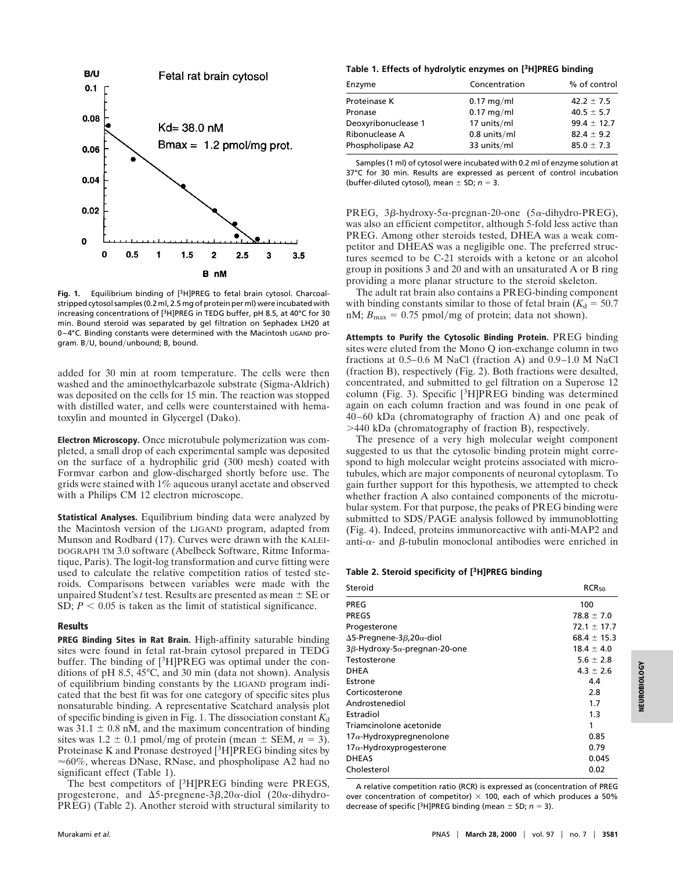

**Fig. 1.** Equilibrium binding of [3H]PREG to fetal brain cytosol. Charcoalstripped cytosol samples (0.2 ml, 2.5 mg of protein per ml) were incubated with increasing concentrations of [3H]PREG in TEDG buffer, pH 8.5, at 40°C for 30 min. Bound steroid was separated by gel filtration on Sephadex LH20 at 0–4°C. Binding constants were determined with the Macintosh LIGAND program. B/U, bound/unbound; B, bound.

added for 30 min at room temperature. The cells were then washed and the aminoethylcarbazole substrate (Sigma-Aldrich) was deposited on the cells for 15 min. The reaction was stopped with distilled water, and cells were counterstained with hematoxylin and mounted in Glycergel (Dako).

**Electron Microscopy.** Once microtubule polymerization was completed, a small drop of each experimental sample was deposited on the surface of a hydrophilic grid (300 mesh) coated with Formvar carbon and glow-discharged shortly before use. The grids were stained with 1% aqueous uranyl acetate and observed with a Philips CM 12 electron microscope.

**Statistical Analyses.** Equilibrium binding data were analyzed by the Macintosh version of the LIGAND program, adapted from Munson and Rodbard (17). Curves were drawn with the KALEI-DOGRAPH TM 3.0 software (Abelbeck Software, Ritme Informatique, Paris). The logit-log transformation and curve fitting were used to calculate the relative competition ratios of tested steroids. Comparisons between variables were made with the unpaired Student's *t* test. Results are presented as mean  $\pm$  SE or SD;  $P < 0.05$  is taken as the limit of statistical significance.

#### **Results**

**PREG Binding Sites in Rat Brain.** High-affinity saturable binding sites were found in fetal rat-brain cytosol prepared in TEDG buffer. The binding of [3H]PREG was optimal under the conditions of pH 8.5, 45°C, and 30 min (data not shown). Analysis of equilibrium binding constants by the LIGAND program indicated that the best fit was for one category of specific sites plus nonsaturable binding. A representative Scatchard analysis plot of specific binding is given in Fig. 1. The dissociation constant  $K_d$ was  $31.1 \pm 0.8$  nM, and the maximum concentration of binding sites was  $1.2 \pm 0.1$  pmol/mg of protein (mean  $\pm$  SEM,  $n = 3$ ). Proteinase K and Pronase destroyed [3H]PREG binding sites by  $\approx 60\%$ , whereas DNase, RNase, and phospholipase A2 had no significant effect (Table 1).

The best competitors of [<sup>3</sup>H]PREG binding were PREGS, progesterone, and  $\Delta$ 5-pregnene-3 $\beta$ , 20 $\alpha$ -diol (20 $\alpha$ -dihydro-PREG) (Table 2). Another steroid with structural similarity to

#### **Table 1. Effects of hydrolytic enzymes on [3H]PREG binding**

| Enzyme              | Concentration | % of control    |
|---------------------|---------------|-----------------|
| Proteinase K        | $0.17$ mg/ml  | $42.2 \pm 7.5$  |
| Pronase             | $0.17$ mg/ml  | $40.5 \pm 5.7$  |
| Deoxyribonuclease 1 | 17 units/ml   | $99.4 \pm 12.7$ |
| Ribonuclease A      | 0.8 units/ml  | $82.4 \pm 9.2$  |
| Phospholipase A2    | 33 units/ml   | $85.0 \pm 7.3$  |
|                     |               |                 |

Samples (1 ml) of cytosol were incubated with 0.2 ml of enzyme solution at 37°C for 30 min. Results are expressed as percent of control incubation (buffer-diluted cytosol), mean  $\pm$  SD;  $n = 3$ .

PREG,  $3\beta$ -hydroxy-5 $\alpha$ -pregnan-20-one (5 $\alpha$ -dihydro-PREG), was also an efficient competitor, although 5-fold less active than PREG. Among other steroids tested, DHEA was a weak competitor and DHEAS was a negligible one. The preferred structures seemed to be C-21 steroids with a ketone or an alcohol group in positions 3 and 20 and with an unsaturated A or B ring providing a more planar structure to the steroid skeleton.

The adult rat brain also contains a PREG-binding component with binding constants similar to those of fetal brain  $(K_d = 50.7)$ nM;  $B_{\text{max}} = 0.75$  pmol/mg of protein; data not shown).

**Attempts to Purify the Cytosolic Binding Protein.** PREG binding sites were eluted from the Mono Q ion-exchange column in two fractions at 0.5–0.6 M NaCl (fraction A) and 0.9–1.0 M NaCl (fraction B), respectively (Fig. 2). Both fractions were desalted, concentrated, and submitted to gel filtration on a Superose 12 column (Fig. 3). Specific  $[{}^{3}H]PREG$  binding was determined again on each column fraction and was found in one peak of 40–60 kDa (chromatography of fraction A) and one peak of .440 kDa (chromatography of fraction B), respectively.

The presence of a very high molecular weight component suggested to us that the cytosolic binding protein might correspond to high molecular weight proteins associated with microtubules, which are major components of neuronal cytoplasm. To gain further support for this hypothesis, we attempted to check whether fraction A also contained components of the microtubular system. For that purpose, the peaks of PREG binding were submitted to SDS/PAGE analysis followed by immunoblotting (Fig. 4). Indeed, proteins immunoreactive with anti-MAP2 and anti- $\alpha$ - and  $\beta$ -tubulin monoclonal antibodies were enriched in

#### **Table 2. Steroid specificity of [3H]PREG binding**

| Steroid                                           | RCR <sub>50</sub> |
|---------------------------------------------------|-------------------|
| PREG                                              | 100               |
| <b>PREGS</b>                                      | $78.8 \pm 7.0$    |
| Progesterone                                      | $72.1 \pm 17.7$   |
| $\Delta$ 5-Pregnene-3 $\beta$ , 20 $\alpha$ -diol | $68.4 \pm 15.3$   |
| $3\beta$ -Hydroxy-5 $\alpha$ -pregnan-20-one      | $18.4 \pm 4.0$    |
| Testosterone                                      | $5.6 \pm 2.8$     |
| DHEA                                              | $4.3 \pm 2.6$     |
| Estrone                                           | 4.4               |
| Corticosterone                                    | 2.8               |
| Androstenediol                                    | 1.7               |
| Estradiol                                         | 1.3               |
| Triamcinolone acetonide                           | 1                 |
| $17\alpha$ -Hydroxypregnenolone                   | 0.85              |
| 17 $\alpha$ -Hydroxyprogesterone                  | 0.79              |
| <b>DHEAS</b>                                      | 0.045             |
| Cholesterol                                       | 0.02              |

A relative competition ratio (RCR) is expressed as (concentration of PREG over concentration of competitor)  $\times$  100, each of which produces a 50% decrease of specific [<sup>3</sup>H]PREG binding (mean  $\pm$  SD; *n* = 3).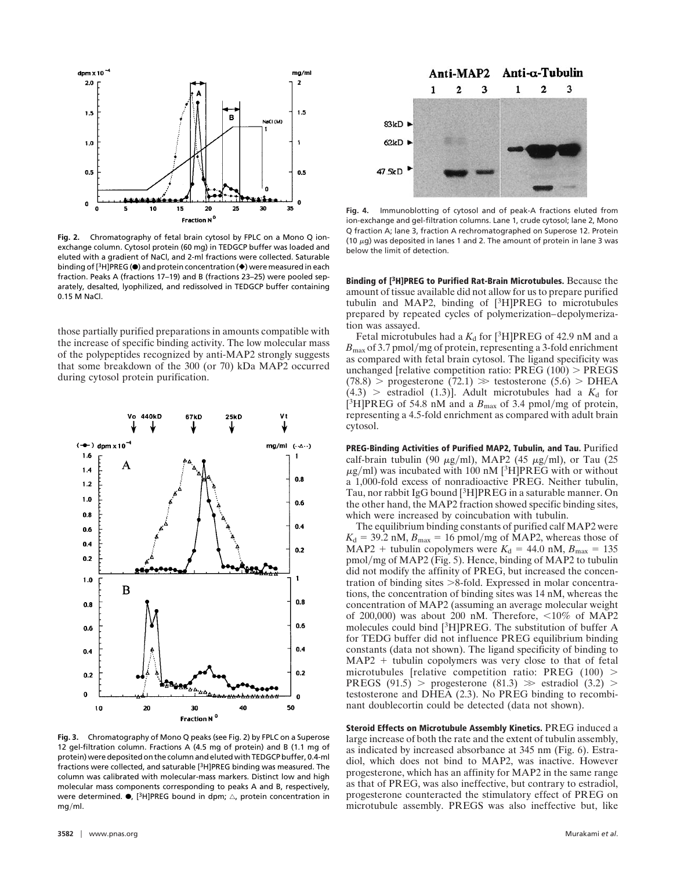

**Fig. 2.** Chromatography of fetal brain cytosol by FPLC on a Mono Q ionexchange column. Cytosol protein (60 mg) in TEDGCP buffer was loaded and eluted with a gradient of NaCl, and 2-ml fractions were collected. Saturable binding of  $[3H]$ PREG ( $\bullet$ ) and protein concentration ( $\bullet$ ) were measured in each fraction. Peaks A (fractions 17–19) and B (fractions 23–25) were pooled separately, desalted, lyophilized, and redissolved in TEDGCP buffer containing 0.15 M NaCl.

those partially purified preparations in amounts compatible with the increase of specific binding activity. The low molecular mass of the polypeptides recognized by anti-MAP2 strongly suggests that some breakdown of the 300 (or 70) kDa MAP2 occurred during cytosol protein purification.



**Fig. 3.** Chromatography of Mono Q peaks (see Fig. 2) by FPLC on a Superose 12 gel-filtration column. Fractions A (4.5 mg of protein) and B (1.1 mg of protein) were deposited on the column and eluted with TEDGCP buffer, 0.4-ml fractions were collected, and saturable [3H]PREG binding was measured. The column was calibrated with molecular-mass markers. Distinct low and high molecular mass components corresponding to peaks A and B, respectively, were determined.  $\bullet$ , [<sup>3</sup>H]PREG bound in dpm;  $\triangle$ , protein concentration in  $mg/ml$ 



**Fig. 4.** Immunoblotting of cytosol and of peak-A fractions eluted from ion-exchange and gel-filtration columns. Lane 1, crude cytosol; lane 2, Mono Q fraction A; lane 3, fraction A rechromatographed on Superose 12. Protein (10  $\mu$ g) was deposited in lanes 1 and 2. The amount of protein in lane 3 was below the limit of detection.

**Binding of [3H]PREG to Purified Rat-Brain Microtubules.** Because the amount of tissue available did not allow for us to prepare purified tubulin and MAP2, binding of  $[{}^{3}H]PREG$  to microtubules prepared by repeated cycles of polymerization–depolymerization was assayed.

Fetal microtubules had a  $K_d$  for [<sup>3</sup>H]PREG of 42.9 nM and a  $B_{\text{max}}$  of 3.7 pmol/mg of protein, representing a 3-fold enrichment as compared with fetal brain cytosol. The ligand specificity was unchanged [relative competition ratio:  $PREG (100)$  >  $PREGS$  $(78.8)$  > progesterone  $(72.1)$   $\gg$  testosterone  $(5.6)$  > DHEA  $(4.3)$  > estradiol  $(1.3)$ ]. Adult microtubules had a  $K_d$  for [<sup>3</sup>H]PREG of 54.8 nM and a  $B_{\text{max}}$  of 3.4 pmol/mg of protein, representing a 4.5-fold enrichment as compared with adult brain cytosol.

**PREG-Binding Activities of Purified MAP2, Tubulin, and Tau.** Purified calf-brain tubulin (90  $\mu$ g/ml), MAP2 (45  $\mu$ g/ml), or Tau (25  $\mu$ g/ml) was incubated with 100 nM [<sup>3</sup>H]PREG with or without a 1,000-fold excess of nonradioactive PREG. Neither tubulin, Tau, nor rabbit IgG bound [3H]PREG in a saturable manner. On the other hand, the MAP2 fraction showed specific binding sites, which were increased by coincubation with tubulin.

The equilibrium binding constants of purified calf MAP2 were  $K_d = 39.2$  nM,  $B_{\text{max}} = 16$  pmol/mg of MAP2, whereas those of MAP2 + tubulin copolymers were  $K_d = 44.0$  nM,  $B_{\text{max}} = 135$ pmol/mg of MAP2 (Fig. 5). Hence, binding of MAP2 to tubulin did not modify the affinity of PREG, but increased the concentration of binding sites  $>8$ -fold. Expressed in molar concentrations, the concentration of binding sites was 14 nM, whereas the concentration of MAP2 (assuming an average molecular weight of 200,000) was about 200 nM. Therefore,  $\langle 10\%$  of MAP2 molecules could bind [3H]PREG. The substitution of buffer A for TEDG buffer did not influence PREG equilibrium binding constants (data not shown). The ligand specificity of binding to  $MAP2 + tubulin copolymers was very close to that of fetal$ microtubules [relative competition ratio: PREG  $(100)$  > PREGS (91.5) > progesterone (81.3)  $\gg$  estradiol (3.2) > testosterone and DHEA (2.3). No PREG binding to recombinant doublecortin could be detected (data not shown).

**Steroid Effects on Microtubule Assembly Kinetics.** PREG induced a large increase of both the rate and the extent of tubulin assembly, as indicated by increased absorbance at 345 nm (Fig. 6). Estradiol, which does not bind to MAP2, was inactive. However progesterone, which has an affinity for MAP2 in the same range as that of PREG, was also ineffective, but contrary to estradiol, progesterone counteracted the stimulatory effect of PREG on microtubule assembly. PREGS was also ineffective but, like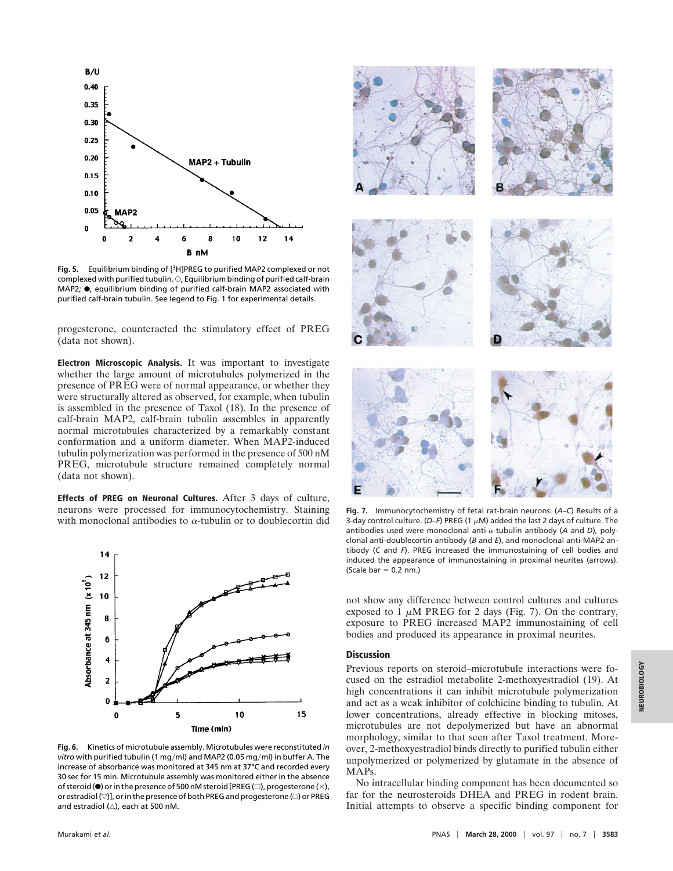

**Fig. 5.** Equilibrium binding of [3H]PREG to purified MAP2 complexed or not complexed with purified tubulin.  $\bigcirc$ , Equilibrium binding of purified calf-brain MAP2;  $\bullet$ , equilibrium binding of purified calf-brain MAP2 associated with purified calf-brain tubulin. See legend to Fig. 1 for experimental details.

progesterone, counteracted the stimulatory effect of PREG (data not shown).

**Electron Microscopic Analysis.** It was important to investigate whether the large amount of microtubules polymerized in the presence of PREG were of normal appearance, or whether they were structurally altered as observed, for example, when tubulin is assembled in the presence of Taxol (18). In the presence of calf-brain MAP2, calf-brain tubulin assembles in apparently normal microtubules characterized by a remarkably constant conformation and a uniform diameter. When MAP2-induced tubulin polymerization was performed in the presence of 500 nM PREG, microtubule structure remained completely normal (data not shown).

**Effects of PREG on Neuronal Cultures.** After 3 days of culture, neurons were processed for immunocytochemistry. Staining with monoclonal antibodies to  $\alpha$ -tubulin or to doublecortin did



**Fig. 6.** Kinetics of microtubule assembly. Microtubules were reconstituted *in vitro* with purified tubulin (1 mg/ml) and MAP2 (0.05 mg/ml) in buffer A. The increase of absorbance was monitored at 345 nm at 37°C and recorded every 30 sec for 15 min. Microtubule assembly was monitored either in the absence of steroid ( $\bullet$ ) or in the presence of 500 nM steroid [PREG ( $\Box$ ), progesterone ( $\times$ ), or estradiol  $(\nabla)$ ], or in the presence of both PREG and progesterone ( $\odot$ ) or PREG and estradiol  $(\triangle)$ , each at 500 nM.



**Fig. 7.** Immunocytochemistry of fetal rat-brain neurons. (*A–C*) Results of a 3-day control culture. ( $D-F$ ) PREG (1  $\mu$ M) added the last 2 days of culture. The antibodies used were monoclonal anti-a-tubulin antibody (*A* and *D*), polyclonal anti-doublecortin antibody (*B* and *E*), and monoclonal anti-MAP2 antibody (*C* and *F*). PREG increased the immunostaining of cell bodies and induced the appearance of immunostaining in proximal neurites (arrows).  $(Scale har = 0.2 nm)$ 

not show any difference between control cultures and cultures exposed to 1  $\mu$ M PREG for 2 days (Fig. 7). On the contrary, exposure to PREG increased MAP2 immunostaining of cell bodies and produced its appearance in proximal neurites.

### **Discussion**

Previous reports on steroid–microtubule interactions were focused on the estradiol metabolite 2-methoxyestradiol (19). At high concentrations it can inhibit microtubule polymerization and act as a weak inhibitor of colchicine binding to tubulin. At lower concentrations, already effective in blocking mitoses, microtubules are not depolymerized but have an abnormal morphology, similar to that seen after Taxol treatment. Moreover, 2-methoxyestradiol binds directly to purified tubulin either unpolymerized or polymerized by glutamate in the absence of MAPs.

No intracellular binding component has been documented so far for the neurosteroids DHEA and PREG in rodent brain. Initial attempts to observe a specific binding component for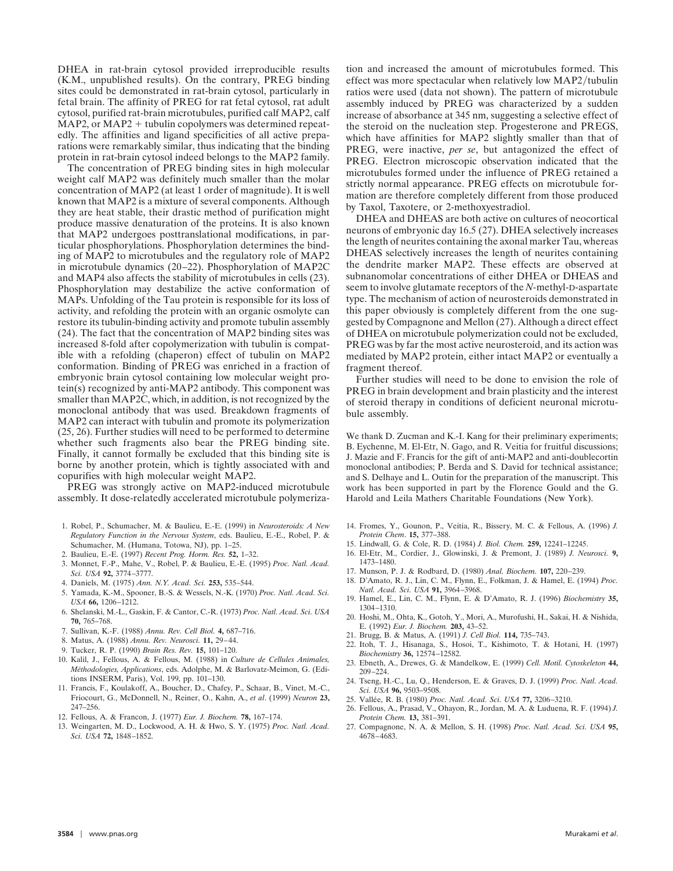DHEA in rat-brain cytosol provided irreproducible results (K.M., unpublished results). On the contrary, PREG binding sites could be demonstrated in rat-brain cytosol, particularly in fetal brain. The affinity of PREG for rat fetal cytosol, rat adult cytosol, purified rat-brain microtubules, purified calf MAP2, calf  $MAP2$ , or  $MAP2 + tubulin copolymers was determined repeat$ edly. The affinities and ligand specificities of all active preparations were remarkably similar, thus indicating that the binding protein in rat-brain cytosol indeed belongs to the MAP2 family.

The concentration of PREG binding sites in high molecular weight calf MAP2 was definitely much smaller than the molar concentration of MAP2 (at least 1 order of magnitude). It is well known that MAP2 is a mixture of several components. Although they are heat stable, their drastic method of purification might produce massive denaturation of the proteins. It is also known that MAP2 undergoes posttranslational modifications, in particular phosphorylations. Phosphorylation determines the binding of MAP2 to microtubules and the regulatory role of MAP2 in microtubule dynamics (20–22). Phosphorylation of MAP2C and MAP4 also affects the stability of microtubules in cells (23). Phosphorylation may destabilize the active conformation of MAPs. Unfolding of the Tau protein is responsible for its loss of activity, and refolding the protein with an organic osmolyte can restore its tubulin-binding activity and promote tubulin assembly (24). The fact that the concentration of MAP2 binding sites was increased 8-fold after copolymerization with tubulin is compatible with a refolding (chaperon) effect of tubulin on MAP2 conformation. Binding of PREG was enriched in a fraction of embryonic brain cytosol containing low molecular weight protein(s) recognized by anti-MAP2 antibody. This component was smaller than MAP2C, which, in addition, is not recognized by the monoclonal antibody that was used. Breakdown fragments of MAP2 can interact with tubulin and promote its polymerization (25, 26). Further studies will need to be performed to determine whether such fragments also bear the PREG binding site. Finally, it cannot formally be excluded that this binding site is borne by another protein, which is tightly associated with and copurifies with high molecular weight MAP2.

PREG was strongly active on MAP2-induced microtubule assembly. It dose-relatedly accelerated microtubule polymeriza-

- 1. Robel, P., Schumacher, M. & Baulieu, E.-E. (1999) in *Neurosteroids: A New Regulatory Function in the Nervous System*, eds. Baulieu, E.-E., Robel, P. & Schumacher, M. (Humana, Totowa, NJ), pp. 1–25.
- 2. Baulieu, E.-E. (1997) *Recent Prog. Horm. Res.* **52,** 1–32.
- 3. Monnet, F.-P., Mahe, V., Robel, P. & Baulieu, E.-E. (1995) *Proc. Natl. Acad. Sci. USA* **92,** 3774–3777.
- 4. Daniels, M. (1975) *Ann. N.Y. Acad. Sci.* **253,** 535–544.
- 5. Yamada, K.-M., Spooner, B.-S. & Wessels, N.-K. (1970) *Proc. Natl. Acad. Sci.*
- *USA* **66,** 1206–1212. 6. Shelanski, M.-L., Gaskin, F. & Cantor, C.-R. (1973) *Proc. Natl. Acad. Sci. USA* **70,** 765–768.
- 7. Sullivan, K.-F. (1988) *Annu. Rev. Cell Biol.* **4,** 687–716.
- 8. Matus, A. (1988) *Annu. Rev. Neurosci.* **11,** 29–44.
- 9. Tucker, R. P. (1990) *Brain Res. Rev.* **15,** 101–120.
- 10. Kalil, J., Fellous, A. & Fellous, M. (1988) in *Culture de Cellules Animales, Me´thodologies, Applications*, eds. Adolphe, M. & Barlovatz-Meimon, G. (Editions INSERM, Paris), Vol. 199, pp. 101–130.
- 11. Francis, F., Koulakoff, A., Boucher, D., Chafey, P., Schaar, B., Vinet, M.-C., Friocourt, G., McDonnell, N., Reiner, O., Kahn, A., *et al*. (1999) *Neuron* **23,** 247–256.
- 12. Fellous, A. & Francon, J. (1977) *Eur. J. Biochem.* **78,** 167–174.
- 13. Weingarten, M. D., Lockwood, A. H. & Hwo, S. Y. (1975) *Proc. Natl. Acad. Sci. USA* **72,** 1848–1852.

tion and increased the amount of microtubules formed. This effect was more spectacular when relatively low MAP2/tubulin ratios were used (data not shown). The pattern of microtubule assembly induced by PREG was characterized by a sudden increase of absorbance at 345 nm, suggesting a selective effect of the steroid on the nucleation step. Progesterone and PREGS, which have affinities for MAP2 slightly smaller than that of PREG, were inactive, *per se*, but antagonized the effect of PREG. Electron microscopic observation indicated that the microtubules formed under the influence of PREG retained a strictly normal appearance. PREG effects on microtubule formation are therefore completely different from those produced by Taxol, Taxotere, or 2-methoxyestradiol.

DHEA and DHEAS are both active on cultures of neocortical neurons of embryonic day 16.5 (27). DHEA selectively increases the length of neurites containing the axonal marker Tau, whereas DHEAS selectively increases the length of neurites containing the dendrite marker MAP2. These effects are observed at subnanomolar concentrations of either DHEA or DHEAS and seem to involve glutamate receptors of the *N-*methyl-D-aspartate type. The mechanism of action of neurosteroids demonstrated in this paper obviously is completely different from the one suggested by Compagnone and Mellon (27). Although a direct effect of DHEA on microtubule polymerization could not be excluded, PREG was by far the most active neurosteroid, and its action was mediated by MAP2 protein, either intact MAP2 or eventually a fragment thereof.

Further studies will need to be done to envision the role of PREG in brain development and brain plasticity and the interest of steroid therapy in conditions of deficient neuronal microtubule assembly.

We thank D. Zucman and K.-I. Kang for their preliminary experiments; B. Eychenne, M. El-Etr, N. Gago, and R. Veitia for fruitful discussions; J. Mazie and F. Francis for the gift of anti-MAP2 and anti-doublecortin monoclonal antibodies; P. Berda and S. David for technical assistance; and S. Delhaye and L. Outin for the preparation of the manuscript. This work has been supported in part by the Florence Gould and the G. Harold and Leila Mathers Charitable Foundations (New York).

- 14. Fromes, Y., Gounon, P., Veitia, R., Bissery, M. C. & Fellous, A. (1996) *J. Protein Chem*. **15,** 377–388.
- 15. Lindwall, G. & Cole, R. D. (1984) *J. Biol. Chem.* **259,** 12241–12245.
- 16. El-Etr, M., Cordier, J., Glowinski, J. & Premont, J. (1989) *J. Neurosci.* **9,** 1473–1480.
- 17. Munson, P. J. & Rodbard, D. (1980) *Anal. Biochem.* **107,** 220–239.
- 18. D'Amato, R. J., Lin, C. M., Flynn, E., Folkman, J. & Hamel, E. (1994) *Proc. Natl. Acad. Sci. USA* **91,** 3964–3968.
- 19. Hamel, E., Lin, C. M., Flynn, E. & D'Amato, R. J. (1996) *Biochemistry* **35,** 1304–1310.
- 20. Hoshi, M., Ohta, K., Gotoh, Y., Mori, A., Murofushi, H., Sakai, H. & Nishida, E. (1992) *Eur. J. Biochem.* **203,** 43–52.
- 21. Brugg, B. & Matus, A. (1991) *J. Cell Biol.* **114,** 735–743.
- 22. Itoh, T. J., Hisanaga, S., Hosoi, T., Kishimoto, T. & Hotani, H. (1997) *Biochemistry* **36,** 12574–12582.
- 23. Ebneth, A., Drewes, G. & Mandelkow, E. (1999) *Cell. Motil. Cytoskeleton* **44,** 209–224.
- 24. Tseng, H.-C., Lu, Q., Henderson, E. & Graves, D. J. (1999) *Proc. Natl. Acad. Sci. USA* **96,** 9503–9508.
- 25. Valle´e, R. B. (1980) *Proc. Natl. Acad. Sci. USA* **77,** 3206–3210.
- 26. Fellous, A., Prasad, V., Ohayon, R., Jordan, M. A. & Luduena, R. F. (1994) *J. Protein Chem.* **13,** 381–391.
- 27. Compagnone, N. A. & Mellon, S. H. (1998) *Proc. Natl. Acad. Sci. USA* **95,** 4678–4683.